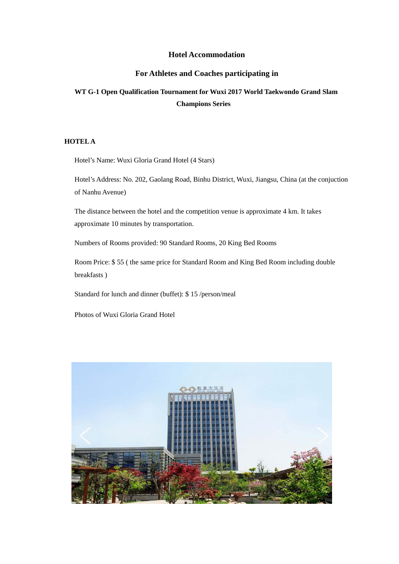#### **Hotel Accommodation**

### **For Athletes and Coaches participating in**

# **WT G-1 Open Qualification Tournament for Wuxi 2017 World Taekwondo Grand Slam Champions Series**

### **HOTEL A**

Hotel's Name: Wuxi Gloria Grand Hotel (4 Stars)

Hotel's Address: No. 202, Gaolang Road, Binhu District, Wuxi, Jiangsu, China (at the conjuction of Nanhu Avenue)

The distance between the hotel and the competition venue is approximate 4 km. It takes approximate 10 minutes by transportation.

Numbers of Rooms provided: 90 Standard Rooms, 20 King Bed Rooms

Room Price: \$ 55 ( the same price for Standard Room and King Bed Room including double breakfasts )

Standard for lunch and dinner (buffet): \$ 15 /person/meal

Photos of Wuxi Gloria Grand Hotel

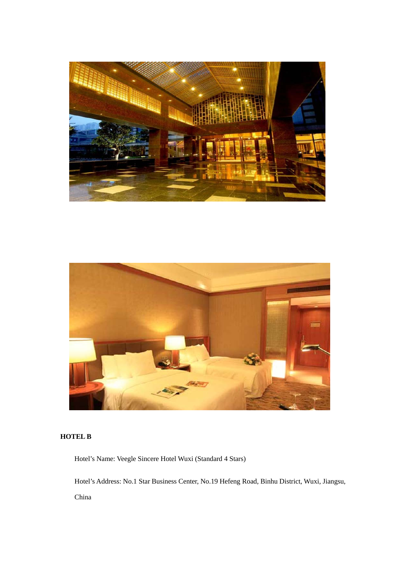



## **HOTEL B**

Hotel's Name: Veegle Sincere Hotel Wuxi (Standard 4 Stars)

Hotel's Address: No.1 Star Business Center, No.19 Hefeng Road, Binhu District, Wuxi, Jiangsu, China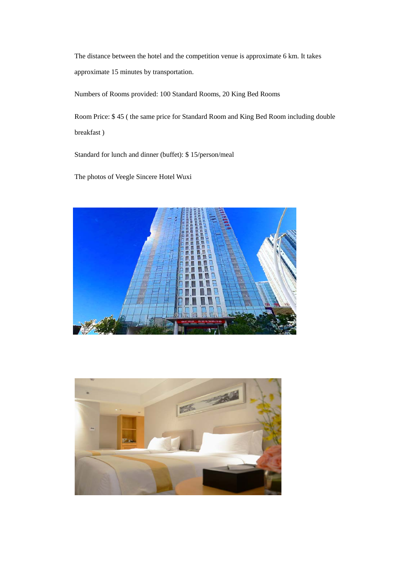The distance between the hotel and the competition venue is approximate 6 km. It takes approximate 15 minutes by transportation.

Numbers of Rooms provided: 100 Standard Rooms, 20 King Bed Rooms

Room Price: \$ 45 ( the same price for Standard Room and King Bed Room including double breakfast )

Standard for lunch and dinner (buffet): \$ 15/person/meal

The photos of Veegle Sincere Hotel Wuxi